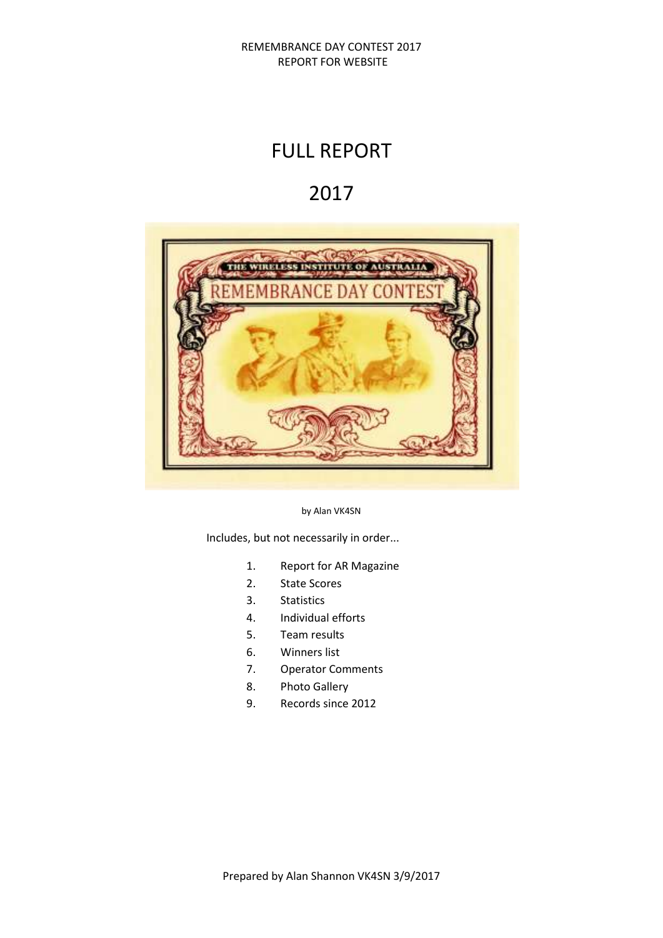# FULL REPORT

# 2017



by Alan VK4SN

Includes, but not necessarily in order...

- 1. Report for AR Magazine
- 2. State Scores
- 3. Statistics
- 4. Individual efforts
- 5. Team results
- 6. Winners list
- 7. Operator Comments
- 8. Photo Gallery
- 9. Records since 2012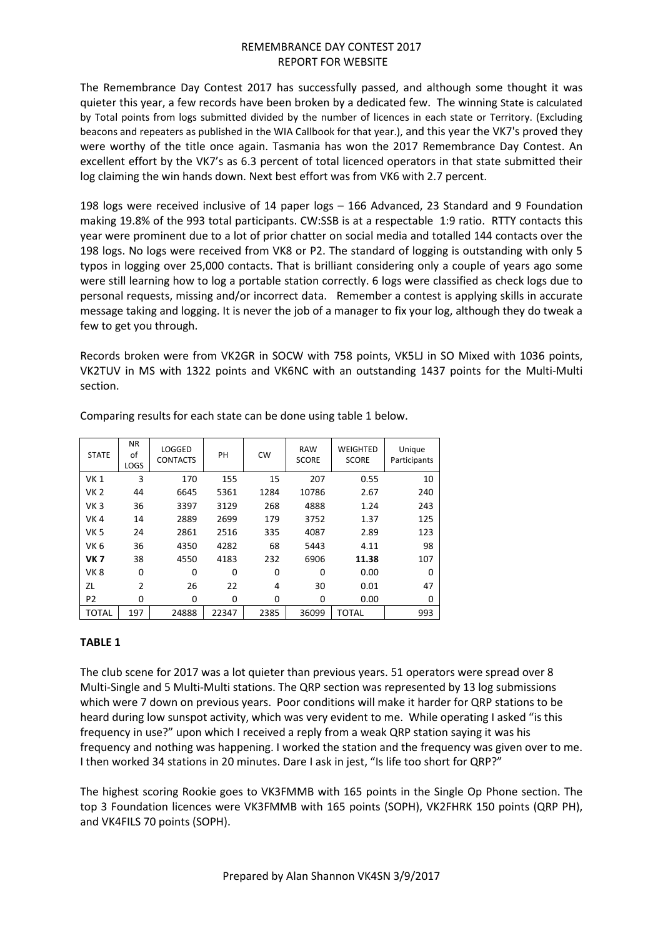The Remembrance Day Contest 2017 has successfully passed, and although some thought it was quieter this year, a few records have been broken by a dedicated few. The winning State is calculated by Total points from logs submitted divided by the number of licences in each state or Territory. (Excluding beacons and repeaters as published in the WIA Callbook for that year.), and this year the VK7's proved they were worthy of the title once again. Tasmania has won the 2017 Remembrance Day Contest. An excellent effort by the VK7's as 6.3 percent of total licenced operators in that state submitted their log claiming the win hands down. Next best effort was from VK6 with 2.7 percent.

198 logs were received inclusive of 14 paper logs – 166 Advanced, 23 Standard and 9 Foundation making 19.8% of the 993 total participants. CW:SSB is at a respectable 1:9 ratio. RTTY contacts this year were prominent due to a lot of prior chatter on social media and totalled 144 contacts over the 198 logs. No logs were received from VK8 or P2. The standard of logging is outstanding with only 5 typos in logging over 25,000 contacts. That is brilliant considering only a couple of years ago some were still learning how to log a portable station correctly. 6 logs were classified as check logs due to personal requests, missing and/or incorrect data. Remember a contest is applying skills in accurate message taking and logging. It is never the job of a manager to fix your log, although they do tweak a few to get you through.

Records broken were from VK2GR in SOCW with 758 points, VK5LJ in SO Mixed with 1036 points, VK2TUV in MS with 1322 points and VK6NC with an outstanding 1437 points for the Multi-Multi section.

| <b>STATE</b>    | <b>NR</b><br>οf<br><b>LOGS</b> | LOGGED<br><b>CONTACTS</b> | PH    | <b>CW</b> | <b>RAW</b><br><b>SCORE</b> | WEIGHTED<br><b>SCORE</b> | Unique<br>Participants |
|-----------------|--------------------------------|---------------------------|-------|-----------|----------------------------|--------------------------|------------------------|
| <b>VK1</b>      | 3                              | 170                       | 155   | 15        | 207                        | 0.55                     | 10                     |
| <b>VK2</b>      | 44                             | 6645                      | 5361  | 1284      | 10786                      | 2.67                     | 240                    |
| VK <sub>3</sub> | 36                             | 3397                      | 3129  | 268       | 4888                       | 1.24                     | 243                    |
| VK <sub>4</sub> | 14                             | 2889                      | 2699  | 179       | 3752                       | 1.37                     | 125                    |
| VK <sub>5</sub> | 24                             | 2861                      | 2516  | 335       | 4087                       | 2.89                     | 123                    |
| VK 6            | 36                             | 4350                      | 4282  | 68        | 5443                       | 4.11                     | 98                     |
| <b>VK7</b>      | 38                             | 4550                      | 4183  | 232       | 6906                       | 11.38                    | 107                    |
| VK 8            | 0                              | 0                         | 0     | 0         | 0                          | 0.00                     | $\Omega$               |
| ΖL              | $\overline{2}$                 | 26                        | 22    | 4         | 30                         | 0.01                     | 47                     |
| P <sub>2</sub>  | 0                              | 0                         | 0     | 0         | 0                          | 0.00                     | 0                      |
| <b>TOTAL</b>    | 197                            | 24888                     | 22347 | 2385      | 36099                      | TOTAL                    | 993                    |

Comparing results for each state can be done using table 1 below.

# **TABLE 1**

The club scene for 2017 was a lot quieter than previous years. 51 operators were spread over 8 Multi-Single and 5 Multi-Multi stations. The QRP section was represented by 13 log submissions which were 7 down on previous years. Poor conditions will make it harder for QRP stations to be heard during low sunspot activity, which was very evident to me. While operating I asked "is this frequency in use?" upon which I received a reply from a weak QRP station saying it was his frequency and nothing was happening. I worked the station and the frequency was given over to me. I then worked 34 stations in 20 minutes. Dare I ask in jest, "Is life too short for QRP?"

The highest scoring Rookie goes to VK3FMMB with 165 points in the Single Op Phone section. The top 3 Foundation licences were VK3FMMB with 165 points (SOPH), VK2FHRK 150 points (QRP PH), and VK4FILS 70 points (SOPH).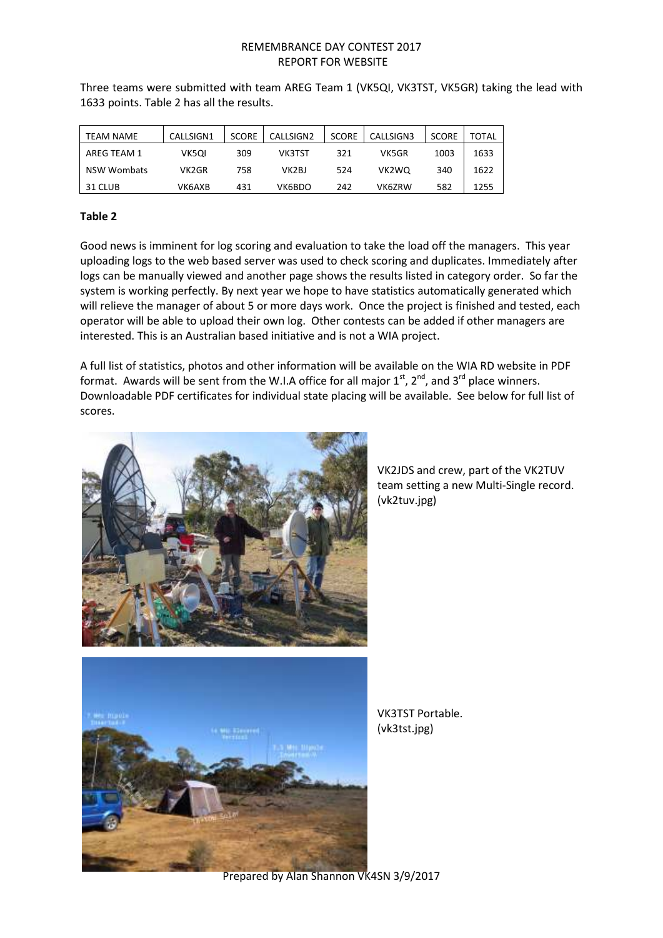| TEAM NAME          | CALLSIGN1 | <b>SCORE</b> | CALLSIGN2 | <b>SCORE</b> | CALLSIGN3 | <b>SCORE</b> | TOTAL |
|--------------------|-----------|--------------|-----------|--------------|-----------|--------------|-------|
| AREG TEAM 1        | VK5QI     | 309          | VK3TST    | 321          | VK5GR     | 1003         | 1633  |
| <b>NSW Wombats</b> | VK2GR     | 758          | VK2BJ     | 524          | VK2WO     | 340          | 1622  |
| 31 CLUB            | VK6AXB    | 431          | VK6BDO    | 242          | VK6ZRW    | 582          | 1255  |

Three teams were submitted with team AREG Team 1 (VK5QI, VK3TST, VK5GR) taking the lead with 1633 points. Table 2 has all the results.

# **Table 2**

Good news is imminent for log scoring and evaluation to take the load off the managers. This year uploading logs to the web based server was used to check scoring and duplicates. Immediately after logs can be manually viewed and another page shows the results listed in category order. So far the system is working perfectly. By next year we hope to have statistics automatically generated which will relieve the manager of about 5 or more days work. Once the project is finished and tested, each operator will be able to upload their own log. Other contests can be added if other managers are interested. This is an Australian based initiative and is not a WIA project.

A full list of statistics, photos and other information will be available on the WIA RD website in PDF format. Awards will be sent from the W.I.A office for all major  $1<sup>st</sup>$ ,  $2<sup>nd</sup>$ , and  $3<sup>rd</sup>$  place winners. Downloadable PDF certificates for individual state placing will be available. See below for full list of scores.



VK2JDS and crew, part of the VK2TUV team setting a new Multi-Single record. (vk2tuv.jpg)



VK3TST Portable. (vk3tst.jpg)

Prepared by Alan Shannon VK4SN 3/9/2017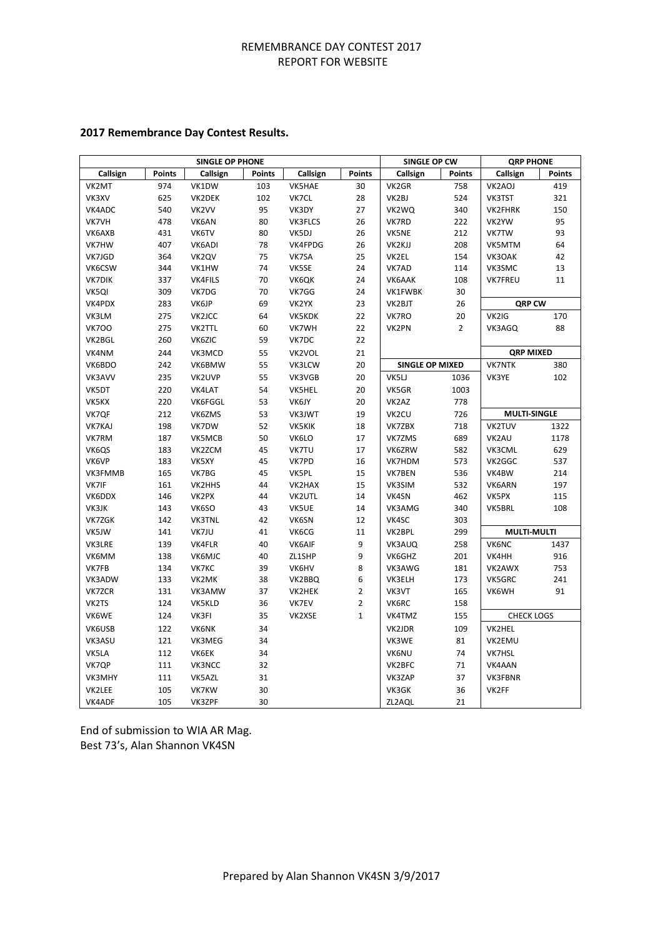# **2017 Remembrance Day Contest Results.**

|               |               | <b>SINGLE OP PHONE</b> |               |               |                | SINGLE OP CW           |                | <b>QRP PHONE</b>   |                     |
|---------------|---------------|------------------------|---------------|---------------|----------------|------------------------|----------------|--------------------|---------------------|
| Callsign      | <b>Points</b> | Callsign               | <b>Points</b> | Callsign      | <b>Points</b>  | Callsign               | <b>Points</b>  | Callsign           | <b>Points</b>       |
| VK2MT         | 974           | VK1DW                  | 103           | VK5HAE        | 30             | VK2GR                  | 758            | VK2AOJ             | 419                 |
| VK3XV         | 625           | VK2DEK                 | 102           | VK7CL         | 28             | VK2BJ                  | 524            | VK3TST             | 321                 |
| VK4ADC        | 540           | VK2VV                  | 95            | VK3DY         | 27             | VK2WQ                  | 340            | VK2FHRK            | 150                 |
| VK7VH         | 478           | VK6AN                  | 80            | VK3FLCS       | 26             | VK7RD                  | 222            | VK2YW              | 95                  |
| VK6AXB        | 431           | VK6TV                  | 80            | VK5DJ         | 26             | VK5NE                  | 212            | VK7TW              | 93                  |
| VK7HW         | 407           | VK6ADI                 | 78            | VK4FPDG       | 26             | VK2KJJ                 | 208            | VK5MTM             | 64                  |
| VK7JGD        | 364           | VK2QV                  | 75            | VK7SA         | 25             | VK2EL                  | 154            | VK3OAK             | 42                  |
| VK6CSW        | 344           | VK1HW                  | 74            | VK5SE         | 24             | VK7AD                  | 114            | VK3SMC             | 13                  |
| <b>VK7DIK</b> | 337           | <b>VK4FILS</b>         | 70            | VK6QK         | 24             | VK6AAK                 | 108            | <b>VK7FREU</b>     | 11                  |
| VK5QI         | 309           | VK7DG                  | 70            | VK7GG         | 24             | VK1FWBK                | 30             |                    |                     |
| VK4PDX        | 283           | VK6JP                  | 69            | VK2YX         | 23             | VK2BJT                 | 26             | <b>QRP CW</b>      |                     |
| VK3LM         | 275           | VK2JCC                 | 64            | VK5KDK        | 22             | VK7RO                  | 20             | VK2IG              | 170                 |
| <b>VK700</b>  | 275           | <b>VK2TTL</b>          | 60            | VK7WH         | 22             | VK2PN                  | $\overline{2}$ | VK3AGQ             | 88                  |
| VK2BGL        | 260           | VK6ZIC                 | 59            | VK7DC         | 22             |                        |                |                    |                     |
| VK4NM         | 244           | VK3MCD                 | 55            | VK2VOL        | 21             |                        |                | <b>QRP MIXED</b>   |                     |
| VK6BDO        | 242           | VK6BMW                 | 55            | VK3LCW        | 20             | <b>SINGLE OP MIXED</b> |                | <b>VK7NTK</b>      | 380                 |
| VK3AVV        | 235           | VK2UVP                 | 55            | VK3VGB        | 20             | VK5LJ                  | 1036           | VK3YE              | 102                 |
| VK5DT         | 220           | VK4LAT                 | 54            | <b>VK5HEL</b> | 20             | VK5GR                  | 1003           |                    |                     |
| VK5KX         | 220           | VK6FGGL                | 53            | VK6JY         | 20             | VK2AZ                  | 778            |                    |                     |
| VK7QF         | 212           | VK6ZMS                 | 53            | VK3JWT        | 19             | VK2CU                  | 726            |                    | <b>MULTI-SINGLE</b> |
| VK7KAJ        | 198           | VK7DW                  | 52            | <b>VK5KIK</b> | 18             | VK7ZBX                 | 718            | VK2TUV             | 1322                |
| VK7RM         | 187           | VK5MCB                 | 50            | VK6LO         | 17             | VK7ZMS                 | 689            | VK2AU              | 1178                |
| VK6QS         | 183           | VK2ZCM                 | 45            | VK7TU         | 17             | VK6ZRW                 | 582            | VK3CML             | 629                 |
| VK6VP         | 183           | VK5XY                  | 45            | VK7PD         | 16             | VK7HDM                 | 573            | VK2GGC             | 537                 |
| VK3FMMB       | 165           | VK7BG                  | 45            | VK5PL         | 15             | VK7BEN                 | 536            | VK4BW              | 214                 |
| VK7IF         | 161           | VK2HHS                 | 44            | VK2HAX        | 15             | VK3SIM                 | 532            | VK6ARN             | 197                 |
| VK6DDX        | 146           | VK2PX                  | 44            | VK2UTL        | 14             | VK4SN                  | 462            | VK5PX              | 115                 |
| VK3JK         | 143           | VK6SO                  | 43            | VK5UE         | 14             | VK3AMG                 | 340            | VK5BRL             | 108                 |
| VK7ZGK        | 142           | <b>VK3TNL</b>          | 42            | VK6SN         | 12             | VK4SC                  | 303            |                    |                     |
| VK5JW         | 141           | VK7JU                  | 41            | VK6CG         | 11             | VK2BPL                 | 299            | <b>MULTI-MULTI</b> |                     |
| VK3LRE        | 139           | <b>VK4FLR</b>          | 40            | <b>VK6AIF</b> | 9              | VK3AUQ                 | 258            | VK6NC              | 1437                |
| VK6MM         | 138           | VK6MJC                 | 40            | ZL1SHP        | 9              | VK6GHZ                 | 201            | VK4HH              | 916                 |
| VK7FB         | 134           | VK7KC                  | 39            | VK6HV         | 8              | VK3AWG                 | 181            | VK2AWX             | 753                 |
| VK3ADW        | 133           | VK2MK                  | 38            | VK2BBQ        | 6              | VK3ELH                 | 173            | VK5GRC             | 241                 |
| VK7ZCR        | 131           | VK3AMW                 | 37            | VK2HEK        | $\overline{2}$ | VK3VT                  | 165            | VK6WH              | 91                  |
| VK2TS         | 124           | VK5KLD                 | 36            | VK7EV         | $\overline{2}$ | VK6RC                  | 158            |                    |                     |
| VK6WE         | 124           | VK3FI                  | 35            | VK2XSE        | $\mathbf{1}$   | VK4TMZ                 | 155            | <b>CHECK LOGS</b>  |                     |
| VK6USB        | 122           | <b>VK6NK</b>           | 34            |               |                | VK2JDR                 | 109            | VK2HEL             |                     |
| VK3ASU        | 121           | VK3MEG                 | 34            |               |                | VK3WE                  | 81             | VK2EMU             |                     |
| VK5LA         | 112           | <b>VK6EK</b>           | 34            |               |                | <b>VK6NU</b>           | 74             | VK7HSL             |                     |
| VK7QP         | 111           | VK3NCC                 | 32            |               |                | VK2BFC                 | 71             | VK4AAN             |                     |
| VK3MHY        | 111           | VK5AZL                 | 31            |               |                | VK3ZAP                 | 37             | VK3FBNR            |                     |
| VK2LEE        | 105           | VK7KW                  | 30            |               |                | VK3GK                  | 36             | VK2FF              |                     |
| VK4ADF        | 105           | VK3ZPF                 | 30            |               |                | ZL2AQL                 | 21             |                    |                     |

End of submission to WIA AR Mag. Best 73's, Alan Shannon VK4SN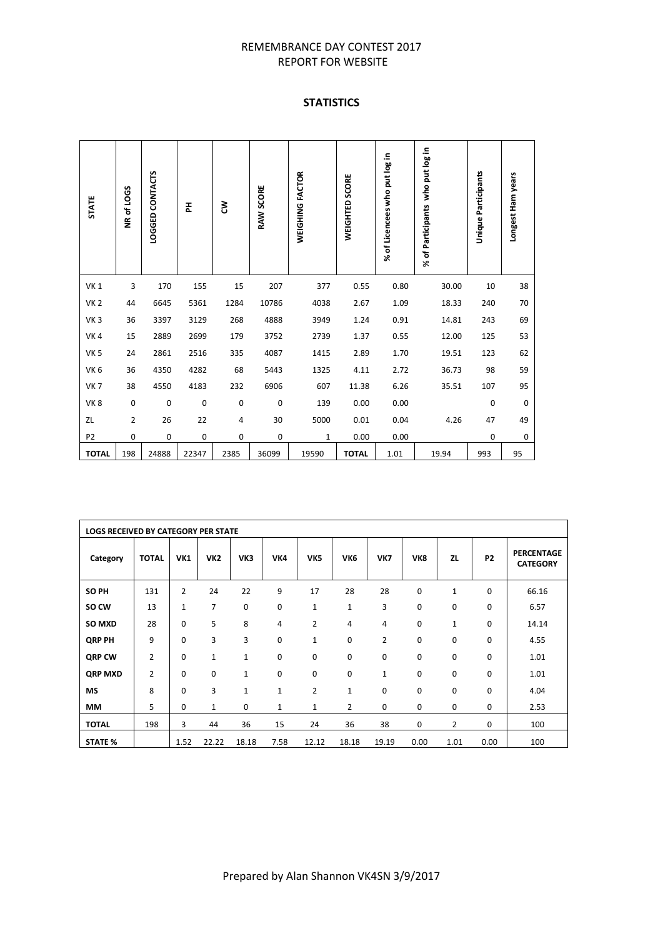# **STATISTICS**

| <b>STATE</b>    | NR of LOGS     | LOGGED CONTACTS | 폾           | ξ           | RAW SCORE   | WEIGHING FACTOR | WEIGHTED SCORE | % of Licencees who put log in | % of Participants who put log in | Unique Participants | Longest Ham years |
|-----------------|----------------|-----------------|-------------|-------------|-------------|-----------------|----------------|-------------------------------|----------------------------------|---------------------|-------------------|
| <b>VK1</b>      | 3              | 170             | 155         | 15          | 207         | 377             | 0.55           | 0.80                          | 30.00                            | 10                  | 38                |
| <b>VK 2</b>     | 44             | 6645            | 5361        | 1284        | 10786       | 4038            | 2.67           | 1.09                          | 18.33                            | 240                 | 70                |
| VK <sub>3</sub> | 36             | 3397            | 3129        | 268         | 4888        | 3949            | 1.24           | 0.91                          | 14.81                            | 243                 | 69                |
| VK4             | 15             | 2889            | 2699        | 179         | 3752        | 2739            | 1.37           | 0.55                          | 12.00                            | 125                 | 53                |
| VK <sub>5</sub> | 24             | 2861            | 2516        | 335         | 4087        | 1415            | 2.89           | 1.70                          | 19.51                            | 123                 | 62                |
| VK <sub>6</sub> | 36             | 4350            | 4282        | 68          | 5443        | 1325            | 4.11           | 2.72                          | 36.73                            | 98                  | 59                |
| <b>VK7</b>      | 38             | 4550            | 4183        | 232         | 6906        | 607             | 11.38          | 6.26                          | 35.51                            | 107                 | 95                |
| VK8             | 0              | 0               | $\mathbf 0$ | $\mathsf 0$ | $\mathbf 0$ | 139             | 0.00           | 0.00                          |                                  | 0                   | 0                 |
| ZL              | $\overline{2}$ | 26              | 22          | 4           | 30          | 5000            | 0.01           | 0.04                          | 4.26                             | 47                  | 49                |
| P <sub>2</sub>  | 0              | 0               | 0           | 0           | 0           | 1               | 0.00           | 0.00                          |                                  | 0                   | 0                 |
| <b>TOTAL</b>    | 198            | 24888           | 22347       | 2385        | 36099       | 19590           | <b>TOTAL</b>   | 1.01                          | 19.94                            | 993                 | 95                |

|                | <b>LOGS RECEIVED BY CATEGORY PER STATE</b> |                |                 |              |              |                |                 |              |             |                |                |                                      |
|----------------|--------------------------------------------|----------------|-----------------|--------------|--------------|----------------|-----------------|--------------|-------------|----------------|----------------|--------------------------------------|
| Category       | <b>TOTAL</b>                               | <b>VK1</b>     | VK <sub>2</sub> | VK3          | VK4          | VK5            | VK <sub>6</sub> | VK7          | VK8         | <b>ZL</b>      | P <sub>2</sub> | <b>PERCENTAGE</b><br><b>CATEGORY</b> |
| SO PH          | 131                                        | $\overline{2}$ | 24              | 22           | 9            | 17             | 28              | 28           | 0           | $\mathbf{1}$   | $\mathbf 0$    | 66.16                                |
| SO CW          | 13                                         | 1              | 7               | 0            | 0            | 1              | $\mathbf{1}$    | 3            | 0           | $\mathbf 0$    | 0              | 6.57                                 |
| SO MXD         | 28                                         | 0              | 5               | 8            | 4            | $\overline{2}$ | 4               | 4            | 0           | $\mathbf{1}$   | 0              | 14.14                                |
| <b>QRP PH</b>  | 9                                          | 0              | 3               | 3            | 0            | 1              | 0               | 2            | 0           | $\mathbf 0$    | $\mathbf 0$    | 4.55                                 |
| QRP CW         | $\overline{2}$                             | 0              | $\mathbf{1}$    | $\mathbf 1$  | 0            | 0              | 0               | 0            | 0           | $\mathbf 0$    | $\mathbf 0$    | 1.01                                 |
| <b>QRP MXD</b> | $\overline{2}$                             | 0              | 0               | $\mathbf{1}$ | $\mathbf 0$  | $\mathbf 0$    | $\mathbf 0$     | $\mathbf{1}$ | 0           | $\mathbf 0$    | 0              | 1.01                                 |
| <b>MS</b>      | 8                                          | 0              | 3               | $\mathbf{1}$ | $\mathbf{1}$ | $\overline{2}$ | $\mathbf{1}$    | 0            | $\mathbf 0$ | $\mathbf 0$    | 0              | 4.04                                 |
| MM             | 5                                          | 0              | $\mathbf{1}$    | 0            | 1            | $\mathbf{1}$   | $\overline{2}$  | 0            | 0           | 0              | 0              | 2.53                                 |
| <b>TOTAL</b>   | 198                                        | 3              | 44              | 36           | 15           | 24             | 36              | 38           | 0           | $\overline{2}$ | 0              | 100                                  |
| <b>STATE %</b> |                                            | 1.52           | 22.22           | 18.18        | 7.58         | 12.12          | 18.18           | 19.19        | 0.00        | 1.01           | 0.00           | 100                                  |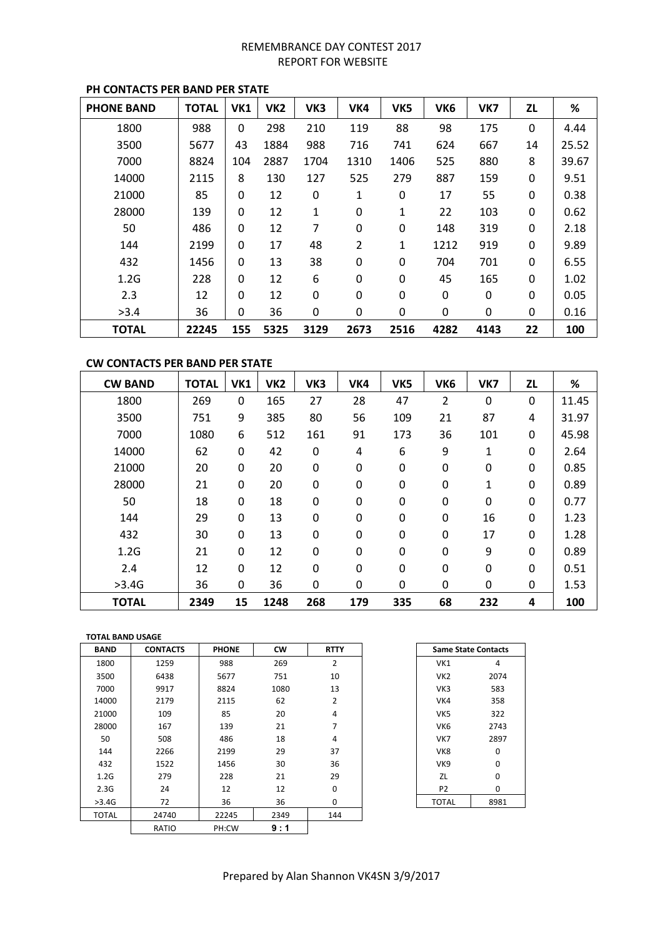| <b>PHONE BAND</b> | <b>TOTAL</b> | VK1          | VK <sub>2</sub> | VK3  | VK4            | VK5  | VK <sub>6</sub> | VK7  | ZL          | %     |
|-------------------|--------------|--------------|-----------------|------|----------------|------|-----------------|------|-------------|-------|
| 1800              | 988          | $\mathbf{0}$ | 298             | 210  | 119            | 88   | 98              | 175  | $\mathbf 0$ | 4.44  |
| 3500              | 5677         | 43           | 1884            | 988  | 716            | 741  | 624             | 667  | 14          | 25.52 |
| 7000              | 8824         | 104          | 2887            | 1704 | 1310           | 1406 | 525             | 880  | 8           | 39.67 |
| 14000             | 2115         | 8            | 130             | 127  | 525            | 279  | 887             | 159  | 0           | 9.51  |
| 21000             | 85           | 0            | 12              | 0    | 1              | 0    | 17              | 55   | 0           | 0.38  |
| 28000             | 139          | 0            | 12              | 1    | 0              | 1    | 22              | 103  | $\mathbf 0$ | 0.62  |
| 50                | 486          | 0            | 12              | 7    | 0              | 0    | 148             | 319  | 0           | 2.18  |
| 144               | 2199         | 0            | 17              | 48   | $\overline{2}$ | 1    | 1212            | 919  | $\Omega$    | 9.89  |
| 432               | 1456         | 0            | 13              | 38   | 0              | 0    | 704             | 701  | 0           | 6.55  |
| 1.2G              | 228          | 0            | 12              | 6    | 0              | 0    | 45              | 165  | $\mathbf 0$ | 1.02  |
| 2.3               | 12           | $\mathbf 0$  | 12              | 0    | $\mathbf 0$    | 0    | 0               | 0    | $\mathbf 0$ | 0.05  |
| >3.4              | 36           | 0            | 36              | 0    | 0              | 0    | 0               | 0    | 0           | 0.16  |
| <b>TOTAL</b>      | 22245        | 155          | 5325            | 3129 | 2673           | 2516 | 4282            | 4143 | 22          | 100   |

# **PH CONTACTS PER BAND PER STATE**

# **CW CONTACTS PER BAND PER STATE**

| <b>CW BAND</b> | <b>TOTAL</b> | VK1         | VK <sub>2</sub> | VK3 | VK4         | VK5         | VK <sub>6</sub> | VK7         | <b>ZL</b> | %     |
|----------------|--------------|-------------|-----------------|-----|-------------|-------------|-----------------|-------------|-----------|-------|
| 1800           | 269          | 0           | 165             | 27  | 28          | 47          | 2               | $\mathbf 0$ | 0         | 11.45 |
| 3500           | 751          | 9           | 385             | 80  | 56          | 109         | 21              | 87          | 4         | 31.97 |
| 7000           | 1080         | 6           | 512             | 161 | 91          | 173         | 36              | 101         | 0         | 45.98 |
| 14000          | 62           | 0           | 42              | 0   | 4           | 6           | 9               | 1           | 0         | 2.64  |
| 21000          | 20           | 0           | 20              | 0   | $\mathbf 0$ | $\mathbf 0$ | $\mathbf 0$     | 0           | 0         | 0.85  |
| 28000          | 21           | 0           | 20              | 0   | 0           | 0           | 0               | 1           | 0         | 0.89  |
| 50             | 18           | 0           | 18              | 0   | 0           | $\mathbf 0$ | 0               | 0           | 0         | 0.77  |
| 144            | 29           | $\mathbf 0$ | 13              | 0   | 0           | 0           | 0               | 16          | 0         | 1.23  |
| 432            | 30           | $\mathbf 0$ | 13              | 0   | $\mathbf 0$ | $\mathbf 0$ | $\mathbf 0$     | 17          | 0         | 1.28  |
| 1.2G           | 21           | $\mathbf 0$ | 12              | 0   | 0           | 0           | $\mathbf 0$     | 9           | 0         | 0.89  |
| 2.4            | 12           | $\mathbf 0$ | 12              | 0   | $\mathbf 0$ | 0           | $\mathbf 0$     | 0           | 0         | 0.51  |
| >3.4G          | 36           | 0           | 36              | 0   | 0           | 0           | 0               | 0           | 0         | 1.53  |
| <b>TOTAL</b>   | 2349         | 15          | 1248            | 268 | 179         | 335         | 68              | 232         | 4         | 100   |

#### **TOTAL BAND USAGE**

| <b>BAND</b>  | <b>CONTACTS</b> | <b>PHONE</b> | <b>CW</b> | <b>RTTY</b>    | <b>Same State Contacts</b> |          |
|--------------|-----------------|--------------|-----------|----------------|----------------------------|----------|
| 1800         | 1259            | 988          | 269       | $\overline{2}$ | VK1                        | 4        |
| 3500         | 6438            | 5677         | 751       | 10             | VK <sub>2</sub>            | 2074     |
| 7000         | 9917            | 8824         | 1080      | 13             | VK3                        | 583      |
| 14000        | 2179            | 2115         | 62        | $\overline{2}$ | VK4                        | 358      |
| 21000        | 109             | 85           | 20        | 4              | VK5                        | 322      |
| 28000        | 167             | 139          | 21        | 7              | VK <sub>6</sub>            | 2743     |
| 50           | 508             | 486          | 18        | $\overline{a}$ | VK7                        | 2897     |
| 144          | 2266            | 2199         | 29        | 37             | VK8                        | $\Omega$ |
| 432          | 1522            | 1456         | 30        | 36             | VK9                        | 0        |
| 1.2G         | 279             | 228          | 21        | 29             | ZL                         | 0        |
| 2.3G         | 24              | 12           | 12        | 0              | P <sub>2</sub>             | 0        |
| >3.4G        | 72              | 36           | 36        | 0              | <b>TOTAL</b>               | 8981     |
| <b>TOTAL</b> | 24740           | 22245        | 2349      | 144            |                            |          |
|              | RATIO           | PH:CW        | 9:1       |                |                            |          |

| <b>Same State Contacts</b> |      |
|----------------------------|------|
| VK1                        | 4    |
| VK <sub>2</sub>            | 2074 |
| VK3                        | 583  |
| VK4                        | 358  |
| VK <sub>5</sub>            | 322  |
| VK6                        | 2743 |
| VK7                        | 2897 |
| VK8                        | 0    |
| VK9                        | 0    |
| ZL                         | 0    |
| P2                         | 0    |
| TOTAL                      | 8981 |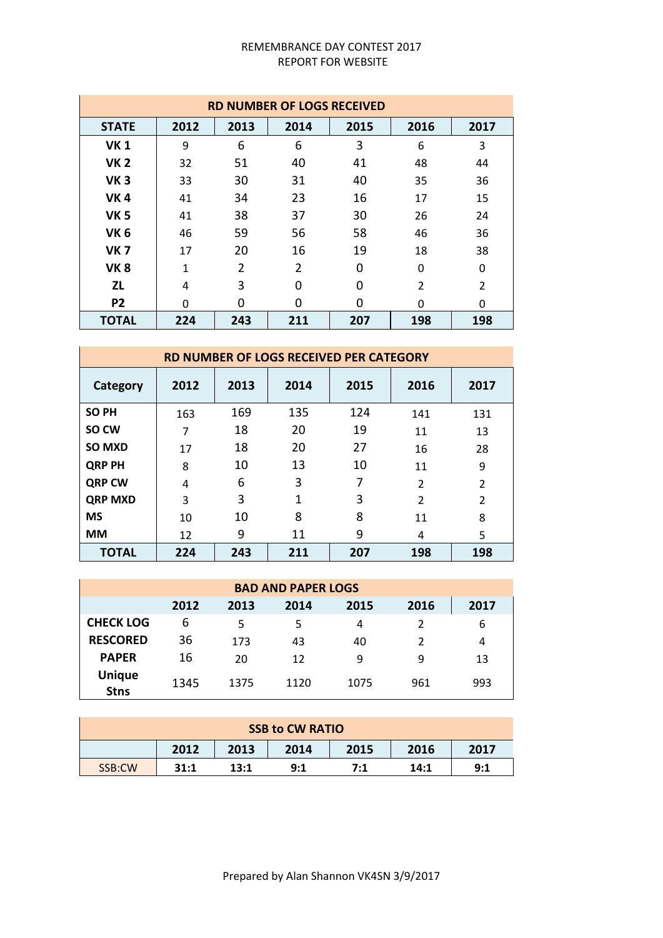|                | <b>RD NUMBER OF LOGS RECEIVED</b> |      |      |      |                |                |  |  |  |  |  |
|----------------|-----------------------------------|------|------|------|----------------|----------------|--|--|--|--|--|
| <b>STATE</b>   | 2012                              | 2013 | 2014 | 2015 | 2016           | 2017           |  |  |  |  |  |
| <b>VK1</b>     | 9                                 | 6    | 6    | 3    | 6              | 3              |  |  |  |  |  |
| <b>VK2</b>     | 32                                | 51   | 40   | 41   | 48             | 44             |  |  |  |  |  |
| <b>VK3</b>     | 33                                | 30   | 31   | 40   | 35             | 36             |  |  |  |  |  |
| <b>VK4</b>     | 41                                | 34   | 23   | 16   | 17             | 15             |  |  |  |  |  |
| <b>VK 5</b>    | 41                                | 38   | 37   | 30   | 26             | 24             |  |  |  |  |  |
| <b>VK6</b>     | 46                                | 59   | 56   | 58   | 46             | 36             |  |  |  |  |  |
| <b>VK 7</b>    | 17                                | 20   | 16   | 19   | 18             | 38             |  |  |  |  |  |
| <b>VK8</b>     | 1                                 | 2    | 2    | 0    | $\Omega$       | 0              |  |  |  |  |  |
| <b>ZL</b>      | 4                                 | 3    | 0    | 0    | $\mathfrak{p}$ | $\overline{2}$ |  |  |  |  |  |
| P <sub>2</sub> | $\Omega$                          | 0    | 0    | 0    | O              | 0              |  |  |  |  |  |
| <b>TOTAL</b>   | 224                               | 243  | 211  | 207  | 198            | 198            |  |  |  |  |  |

|                |      |      | <b>RD NUMBER OF LOGS RECEIVED PER CATEGORY</b> |      |                          |                |
|----------------|------|------|------------------------------------------------|------|--------------------------|----------------|
| Category       | 2012 | 2013 | 2014                                           | 2015 | 2016                     | 2017           |
| <b>SOPH</b>    | 163  | 169  | 135                                            | 124  | 141                      | 131            |
| SO CW          | 7    | 18   | 20                                             | 19   | 11                       | 13             |
| <b>SO MXD</b>  | 17   | 18   | 20                                             | 27   | 16                       | 28             |
| <b>QRP PH</b>  | 8    | 10   | 13                                             | 10   | 11                       | 9              |
| <b>QRP CW</b>  | 4    | 6    | 3                                              | 7    | $\overline{\phantom{a}}$ | $\overline{2}$ |
| <b>QRP MXD</b> | 3    | 3    | 1                                              | 3    | $\mathfrak{p}$           | $\overline{2}$ |
| <b>MS</b>      | 10   | 10   | 8                                              | 8    | 11                       | 8              |
| <b>MM</b>      | 12   | 9    | 11                                             | 9    | 4                        | 5              |
| <b>TOTAL</b>   | 224  | 243  | 211                                            | 207  | 198                      | 198            |

| <b>BAD AND PAPER LOGS</b>    |                                              |      |      |      |     |     |  |  |  |  |  |
|------------------------------|----------------------------------------------|------|------|------|-----|-----|--|--|--|--|--|
|                              | 2012<br>2016<br>2013<br>2015<br>2014<br>2017 |      |      |      |     |     |  |  |  |  |  |
| <b>CHECK LOG</b>             | 6                                            | 5    | 5    | 4    |     | 6   |  |  |  |  |  |
| <b>RESCORED</b>              | 36                                           | 173  | 43   | 40   |     | 4   |  |  |  |  |  |
| <b>PAPER</b>                 | 16                                           | 20   | 12   | 9    | 9   | 13  |  |  |  |  |  |
| <b>Unique</b><br><b>Stns</b> | 1345                                         | 1375 | 1120 | 1075 | 961 | 993 |  |  |  |  |  |

| <b>SSB to CW RATIO</b> |      |      |      |      |      |      |
|------------------------|------|------|------|------|------|------|
|                        | 2012 | 2013 | 2014 | 2015 | 2016 | 2017 |
| SSB:CW                 | 31:1 | 13:1 | 9:1  | 7:1  | 14:1 | 9:1  |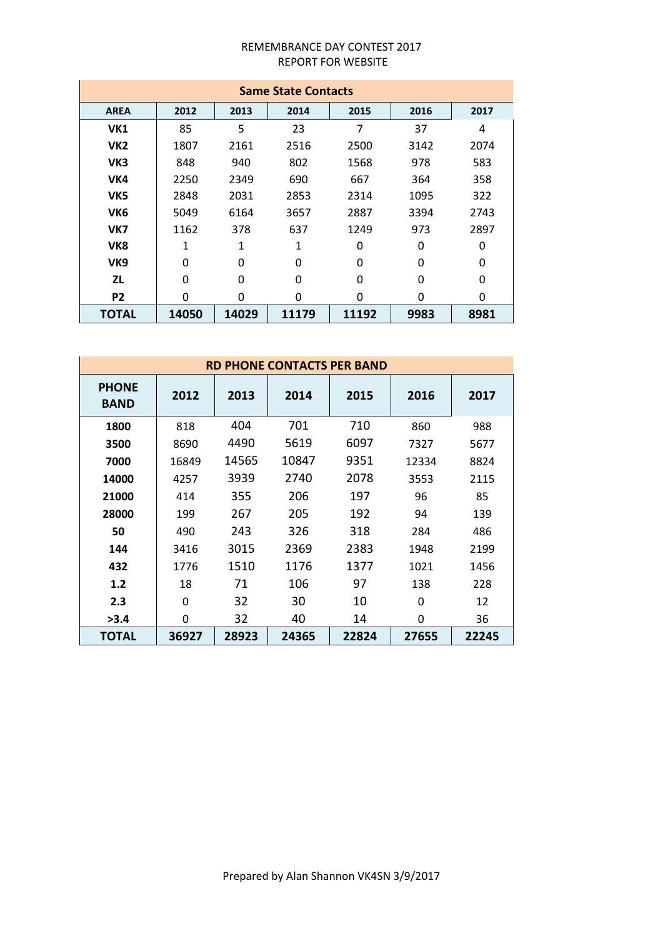| <b>Same State Contacts</b> |       |       |       |       |      |      |  |
|----------------------------|-------|-------|-------|-------|------|------|--|
| <b>AREA</b>                | 2012  | 2013  | 2014  | 2015  | 2016 | 2017 |  |
| VK1                        | 85    | 5     | 23    | 7     | 37   | 4    |  |
| VK <sub>2</sub>            | 1807  | 2161  | 2516  | 2500  | 3142 | 2074 |  |
| VK3                        | 848   | 940   | 802   | 1568  | 978  | 583  |  |
| VK4                        | 2250  | 2349  | 690   | 667   | 364  | 358  |  |
| VK5                        | 2848  | 2031  | 2853  | 2314  | 1095 | 322  |  |
| VK <sub>6</sub>            | 5049  | 6164  | 3657  | 2887  | 3394 | 2743 |  |
| VK7                        | 1162  | 378   | 637   | 1249  | 973  | 2897 |  |
| VK <sub>8</sub>            | 1     | 1     | 1     | 0     | 0    | 0    |  |
| VK <sub>9</sub>            | 0     | 0     | 0     | 0     | 0    | 0    |  |
| <b>ZL</b>                  | 0     | 0     | 0     | 0     | 0    | 0    |  |
| P <sub>2</sub>             | 0     | 0     | 0     | 0     | 0    | 0    |  |
| <b>TOTAL</b>               | 14050 | 14029 | 11179 | 11192 | 9983 | 8981 |  |

| <b>RD PHONE CONTACTS PER BAND</b> |       |       |       |       |          |       |  |
|-----------------------------------|-------|-------|-------|-------|----------|-------|--|
| <b>PHONE</b><br><b>BAND</b>       | 2012  | 2013  | 2014  | 2015  | 2016     | 2017  |  |
| 1800                              | 818   | 404   | 701   | 710   | 860      | 988   |  |
| 3500                              | 8690  | 4490  | 5619  | 6097  | 7327     | 5677  |  |
| 7000                              | 16849 | 14565 | 10847 | 9351  | 12334    | 8824  |  |
| 14000                             | 4257  | 3939  | 2740  | 2078  | 3553     | 2115  |  |
| 21000                             | 414   | 355   | 206   | 197   | 96       | 85    |  |
| 28000                             | 199   | 267   | 205   | 192   | 94       | 139   |  |
| 50                                | 490   | 243   | 326   | 318   | 284      | 486   |  |
| 144                               | 3416  | 3015  | 2369  | 2383  | 1948     | 2199  |  |
| 432                               | 1776  | 1510  | 1176  | 1377  | 1021     | 1456  |  |
| 1.2                               | 18    | 71    | 106   | 97    | 138      | 228   |  |
| 2.3                               | 0     | 32    | 30    | 10    | $\Omega$ | 12    |  |
| >3.4                              | 0     | 32    | 40    | 14    | 0        | 36    |  |
| <b>TOTAL</b>                      | 36927 | 28923 | 24365 | 22824 | 27655    | 22245 |  |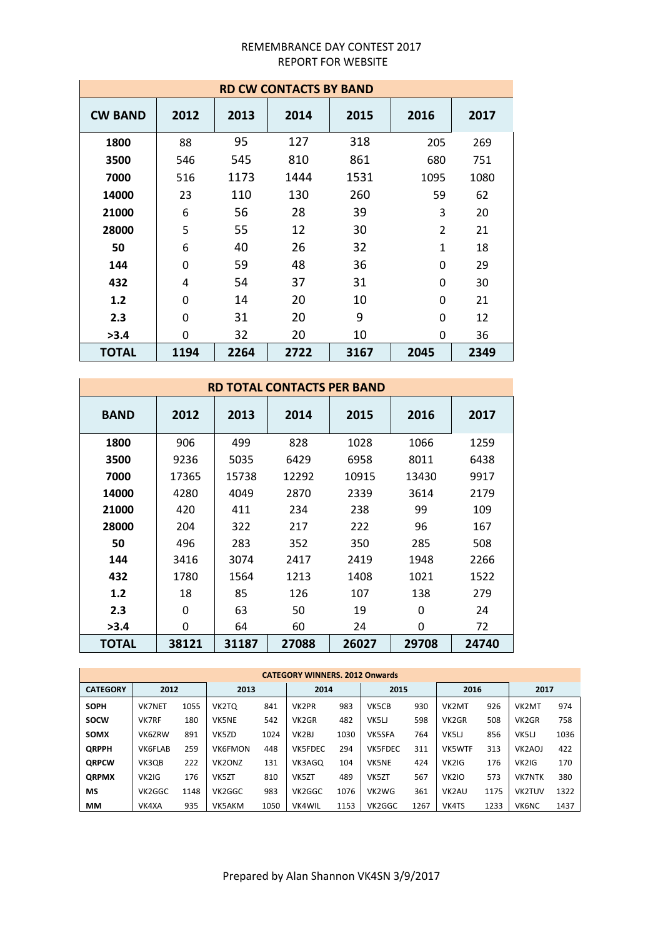| <b>RD CW CONTACTS BY BAND</b> |      |      |      |      |                |      |  |
|-------------------------------|------|------|------|------|----------------|------|--|
| <b>CW BAND</b>                | 2012 | 2013 | 2014 | 2015 | 2016           | 2017 |  |
| 1800                          | 88   | 95   | 127  | 318  | 205            | 269  |  |
| 3500                          | 546  | 545  | 810  | 861  | 680            | 751  |  |
| 7000                          | 516  | 1173 | 1444 | 1531 | 1095           | 1080 |  |
| 14000                         | 23   | 110  | 130  | 260  | 59             | 62   |  |
| 21000                         | 6    | 56   | 28   | 39   | 3              | 20   |  |
| 28000                         | 5    | 55   | 12   | 30   | $\overline{2}$ | 21   |  |
| 50                            | 6    | 40   | 26   | 32   | $\mathbf{1}$   | 18   |  |
| 144                           | 0    | 59   | 48   | 36   | $\Omega$       | 29   |  |
| 432                           | 4    | 54   | 37   | 31   | $\Omega$       | 30   |  |
| 1.2                           | 0    | 14   | 20   | 10   | $\Omega$       | 21   |  |
| 2.3                           | 0    | 31   | 20   | 9    | $\Omega$       | 12   |  |
| >3.4                          | 0    | 32   | 20   | 10   | 0              | 36   |  |
| <b>TOTAL</b>                  | 1194 | 2264 | 2722 | 3167 | 2045           | 2349 |  |

| <b>RD TOTAL CONTACTS PER BAND</b> |       |       |       |       |       |       |
|-----------------------------------|-------|-------|-------|-------|-------|-------|
| <b>BAND</b>                       | 2012  | 2013  | 2014  | 2015  | 2016  | 2017  |
| 1800                              | 906   | 499   | 828   | 1028  | 1066  | 1259  |
| 3500                              | 9236  | 5035  | 6429  | 6958  | 8011  | 6438  |
| 7000                              | 17365 | 15738 | 12292 | 10915 | 13430 | 9917  |
| 14000                             | 4280  | 4049  | 2870  | 2339  | 3614  | 2179  |
| 21000                             | 420   | 411   | 234   | 238   | 99    | 109   |
| 28000                             | 204   | 322   | 217   | 222   | 96    | 167   |
| 50                                | 496   | 283   | 352   | 350   | 285   | 508   |
| 144                               | 3416  | 3074  | 2417  | 2419  | 1948  | 2266  |
| 432                               | 1780  | 1564  | 1213  | 1408  | 1021  | 1522  |
| 1.2                               | 18    | 85    | 126   | 107   | 138   | 279   |
| 2.3                               | 0     | 63    | 50    | 19    | 0     | 24    |
| >3.4                              | 0     | 64    | 60    | 24    | 0     | 72    |
| <b>TOTAL</b>                      | 38121 | 31187 | 27088 | 26027 | 29708 | 24740 |

| <b>CATEGORY WINNERS, 2012 Onwards</b> |                |      |                |      |                    |      |                |      |                    |      |                     |      |
|---------------------------------------|----------------|------|----------------|------|--------------------|------|----------------|------|--------------------|------|---------------------|------|
| <b>CATEGORY</b>                       | 2012           |      | 2013           |      | 2014               |      | 2015           |      | 2016               |      | 2017                |      |
| <b>SOPH</b>                           | <b>VK7NET</b>  | 1055 | VK2TQ          | 841  | VK2PR              | 983  | VK5CB          | 930  | VK2MT              | 926  | VK2MT               | 974  |
| <b>SOCW</b>                           | <b>VK7RF</b>   | 180  | <b>VK5NE</b>   | 542  | VK <sub>2</sub> GR | 482  | VK5LJ          | 598  | VK <sub>2GR</sub>  | 508  | VK <sub>2GR</sub>   | 758  |
| <b>SOMX</b>                           | VK6ZRW         | 891  | VK5ZD          | 1024 | VK <sub>2</sub> BJ | 1030 | <b>VK5SFA</b>  | 764  | VK5LJ              | 856  | VK5LI               | 1036 |
| <b>ORPPH</b>                          | <b>VK6FLAB</b> | 259  | <b>VK6FMON</b> | 448  | <b>VK5FDEC</b>     | 294  | <b>VK5FDEC</b> | 311  | <b>VK5WTF</b>      | 313  | VK <sub>2</sub> AOJ | 422  |
| <b>ORPCW</b>                          | VK3OB          | 222  | VK2ONZ         | 131  | VK3AGO             | 104  | <b>VK5NE</b>   | 424  | VK2IG              | 176  | VK2IG               | 170  |
| <b>ORPMX</b>                          | VK2IG          | 176  | VK5ZT          | 810  | VK5ZT              | 489  | VK5ZT          | 567  | <b>VK2IO</b>       | 573  | <b>VK7NTK</b>       | 380  |
| МS                                    | VK2GGC         | 1148 | VK2GGC         | 983  | VK2GGC             | 1076 | VK2WG          | 361  | VK <sub>2</sub> AU | 1175 | <b>VK2TUV</b>       | 1322 |
| MМ                                    | VK4XA          | 935  | VK5AKM         | 1050 | <b>VK4WIL</b>      | 1153 | VK2GGC         | 1267 | VK4TS              | 1233 | <b>VK6NC</b>        | 1437 |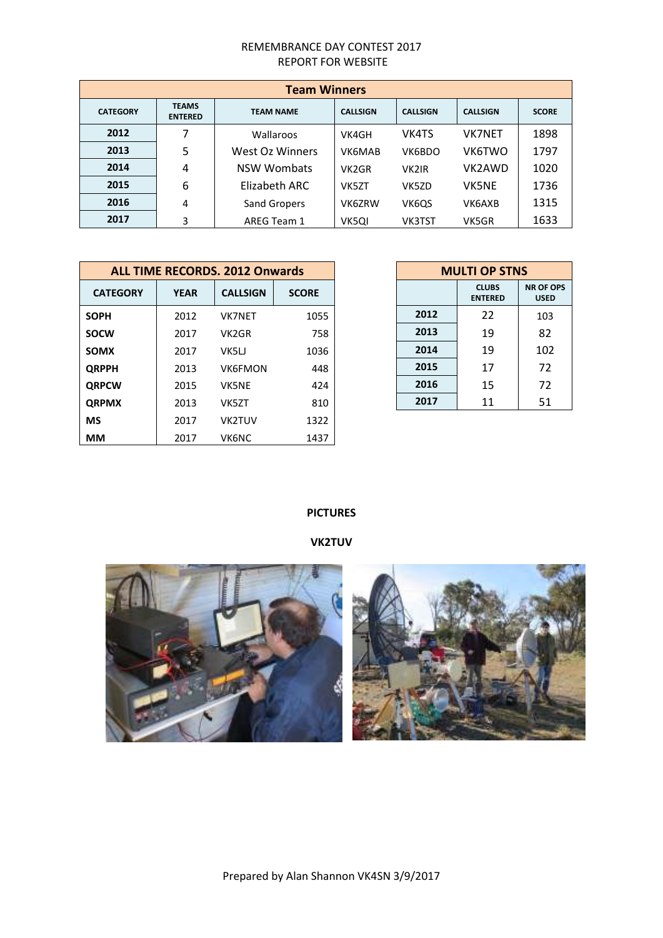| <b>Team Winners</b> |                                |                  |                 |                 |                 |              |
|---------------------|--------------------------------|------------------|-----------------|-----------------|-----------------|--------------|
| <b>CATEGORY</b>     | <b>TEAMS</b><br><b>ENTERED</b> | <b>TEAM NAME</b> | <b>CALLSIGN</b> | <b>CALLSIGN</b> | <b>CALLSIGN</b> | <b>SCORE</b> |
| 2012                | 7                              | Wallaroos        | VK4GH           | VK4TS           | <b>VK7NET</b>   | 1898         |
| 2013                | 5                              | West Oz Winners  | VK6MAB          | VK6BDO          | <b>VK6TWO</b>   | 1797         |
| 2014                | 4                              | NSW Wombats      | VK2GR           | <b>VK2IR</b>    | VK2AWD          | 1020         |
| 2015                | 6                              | Elizabeth ARC    | VK5ZT           | VK5ZD           | <b>VK5NE</b>    | 1736         |
| 2016                | 4                              | Sand Gropers     | VK6ZRW          | VK6QS           | VK6AXB          | 1315         |
| 2017                | 3                              | AREG Team 1      | VK5QI           | <b>VK3TST</b>   | VK5GR           | 1633         |

|                 | <b>ALL TIME RECORDS. 2012 Onwards</b> |                    | <b>MULTI OP STNS</b> |      |                                |                        |
|-----------------|---------------------------------------|--------------------|----------------------|------|--------------------------------|------------------------|
| <b>CATEGORY</b> | <b>YEAR</b>                           | <b>CALLSIGN</b>    | <b>SCORE</b>         |      | <b>CLUBS</b><br><b>ENTERED</b> | NR OF O<br><b>USED</b> |
| <b>SOPH</b>     | 2012                                  | <b>VK7NET</b>      | 1055                 | 2012 | 22                             | 103                    |
| <b>SOCW</b>     | 2017                                  | VK <sub>2</sub> GR | 758                  | 2013 | 19                             | 82                     |
| <b>SOMX</b>     | 2017                                  | VK5LJ              | 1036                 | 2014 | 19                             | 102                    |
| <b>QRPPH</b>    | 2013                                  | <b>VK6FMON</b>     | 448                  | 2015 | 17                             | 72                     |
| <b>QRPCW</b>    | 2015                                  | <b>VK5NE</b>       | 424                  | 2016 | 15                             | 72                     |
| <b>QRPMX</b>    | 2013                                  | VK5ZT              | 810                  | 2017 | 11                             | 51                     |
| <b>MS</b>       | 2017                                  | VK2TUV             | 1322                 |      |                                |                        |
| <b>MM</b>       | 2017                                  | <b>VK6NC</b>       | 1437                 |      |                                |                        |

| <b>MULTI OP STNS</b> |                                |                                 |  |  |  |  |
|----------------------|--------------------------------|---------------------------------|--|--|--|--|
|                      | <b>CLUBS</b><br><b>ENTERED</b> | <b>NR OF OPS</b><br><b>USED</b> |  |  |  |  |
| 2012                 | 22                             | 103                             |  |  |  |  |
| 2013                 | 19                             | 82                              |  |  |  |  |
| 2014                 | 19                             | 102                             |  |  |  |  |
| 2015                 | 17                             | 72                              |  |  |  |  |
| 2016                 | 15                             | 72                              |  |  |  |  |
| 2017                 | 11                             | 51                              |  |  |  |  |

# **PICTURES**

# **VK2TUV**

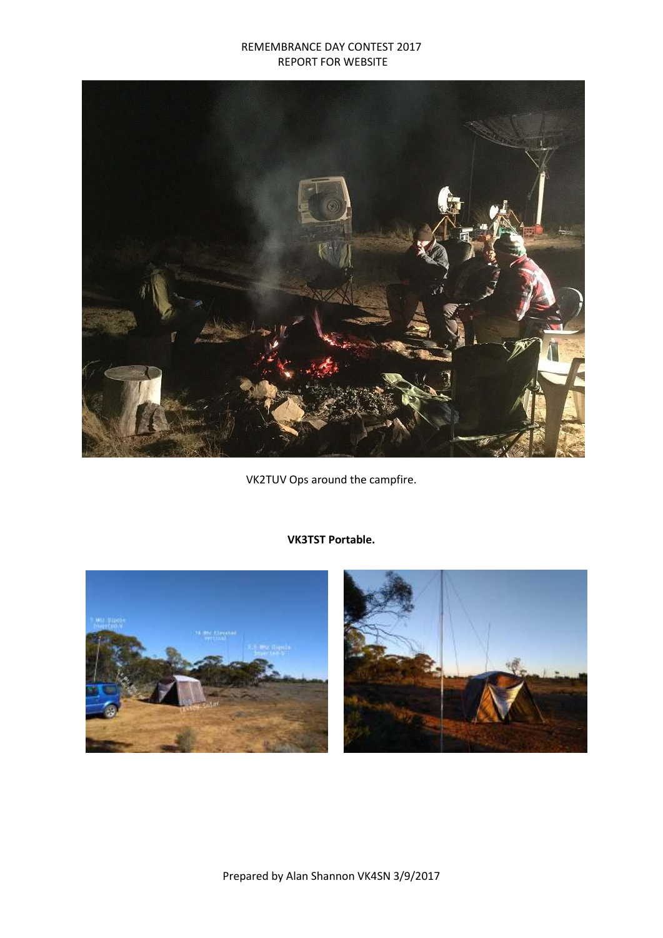

VK2TUV Ops around the campfire.







Prepared by Alan Shannon VK4SN 3/9/2017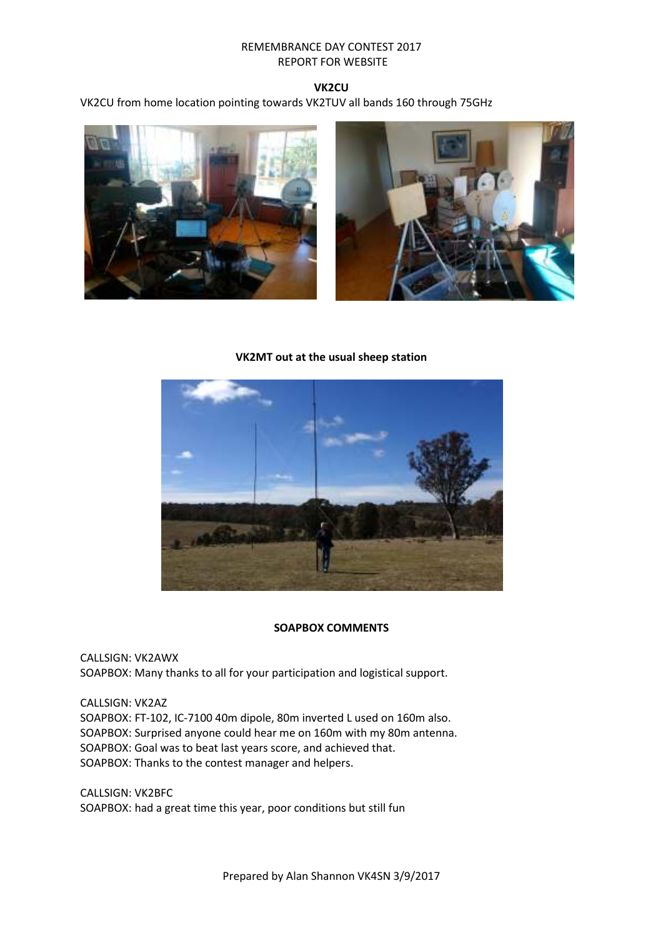## **VK2CU**

VK2CU from home location pointing towards VK2TUV all bands 160 through 75GHz



#### **VK2MT out at the usual sheep station**



#### **SOAPBOX COMMENTS**

CALLSIGN: VK2AWX SOAPBOX: Many thanks to all for your participation and logistical support.

CALLSIGN: VK2AZ SOAPBOX: FT-102, IC-7100 40m dipole, 80m inverted L used on 160m also. SOAPBOX: Surprised anyone could hear me on 160m with my 80m antenna. SOAPBOX: Goal was to beat last years score, and achieved that. SOAPBOX: Thanks to the contest manager and helpers.

CALLSIGN: VK2BFC SOAPBOX: had a great time this year, poor conditions but still fun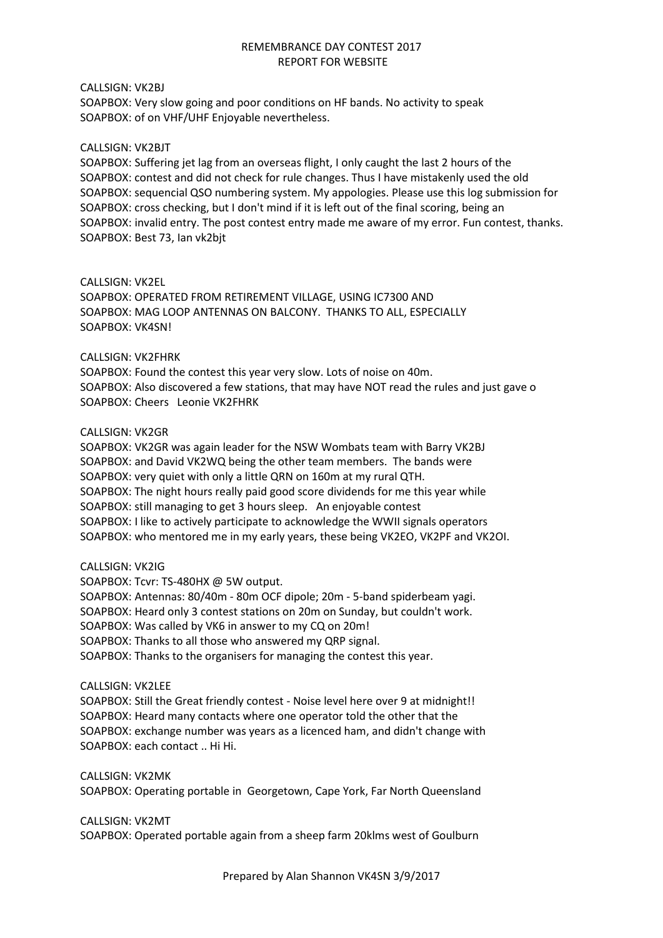#### CALLSIGN: VK2BJ

SOAPBOX: Very slow going and poor conditions on HF bands. No activity to speak SOAPBOX: of on VHF/UHF Enjoyable nevertheless.

#### CALLSIGN: VK2BJT

SOAPBOX: Suffering jet lag from an overseas flight, I only caught the last 2 hours of the SOAPBOX: contest and did not check for rule changes. Thus I have mistakenly used the old SOAPBOX: sequencial QSO numbering system. My appologies. Please use this log submission for SOAPBOX: cross checking, but I don't mind if it is left out of the final scoring, being an SOAPBOX: invalid entry. The post contest entry made me aware of my error. Fun contest, thanks. SOAPBOX: Best 73, Ian vk2bjt

#### CALLSIGN: VK2EL

SOAPBOX: OPERATED FROM RETIREMENT VILLAGE, USING IC7300 AND SOAPBOX: MAG LOOP ANTENNAS ON BALCONY. THANKS TO ALL, ESPECIALLY SOAPBOX: VK4SN!

#### CALLSIGN: VK2FHRK

SOAPBOX: Found the contest this year very slow. Lots of noise on 40m. SOAPBOX: Also discovered a few stations, that may have NOT read the rules and just gave o SOAPBOX: Cheers Leonie VK2FHRK

#### CALLSIGN: VK2GR

SOAPBOX: VK2GR was again leader for the NSW Wombats team with Barry VK2BJ SOAPBOX: and David VK2WQ being the other team members. The bands were SOAPBOX: very quiet with only a little QRN on 160m at my rural QTH. SOAPBOX: The night hours really paid good score dividends for me this year while SOAPBOX: still managing to get 3 hours sleep. An enjoyable contest SOAPBOX: I like to actively participate to acknowledge the WWII signals operators SOAPBOX: who mentored me in my early years, these being VK2EO, VK2PF and VK2OI.

#### CALLSIGN: VK2IG

SOAPBOX: Tcvr: TS-480HX @ 5W output. SOAPBOX: Antennas: 80/40m - 80m OCF dipole; 20m - 5-band spiderbeam yagi. SOAPBOX: Heard only 3 contest stations on 20m on Sunday, but couldn't work. SOAPBOX: Was called by VK6 in answer to my CQ on 20m! SOAPBOX: Thanks to all those who answered my QRP signal. SOAPBOX: Thanks to the organisers for managing the contest this year.

#### CALLSIGN: VK2LEE

SOAPBOX: Still the Great friendly contest - Noise level here over 9 at midnight!! SOAPBOX: Heard many contacts where one operator told the other that the SOAPBOX: exchange number was years as a licenced ham, and didn't change with SOAPBOX: each contact .. Hi Hi.

CALLSIGN: VK2MK SOAPBOX: Operating portable in Georgetown, Cape York, Far North Queensland

# CALLSIGN: VK2MT

SOAPBOX: Operated portable again from a sheep farm 20klms west of Goulburn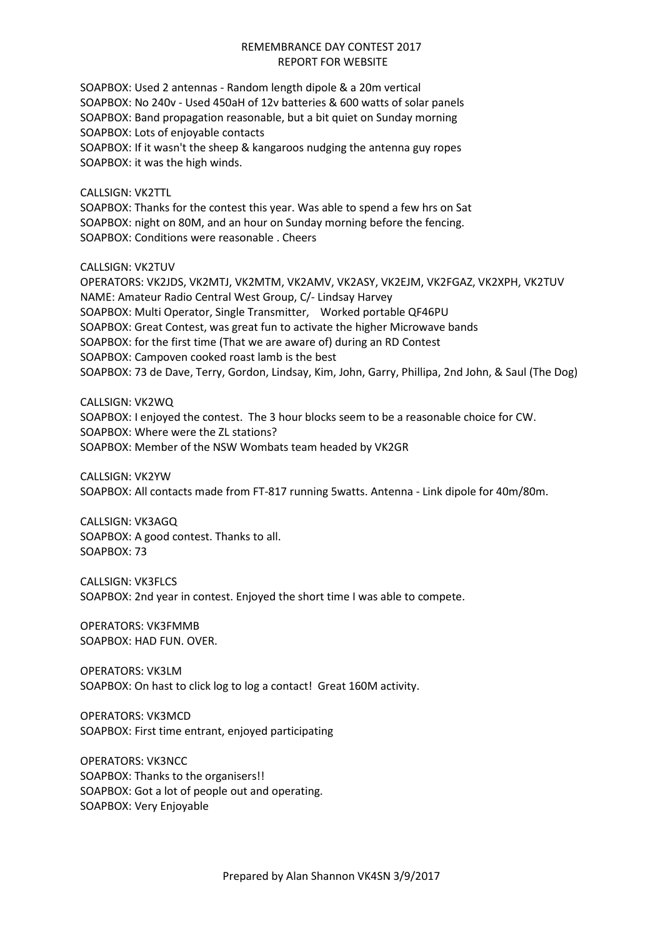SOAPBOX: Used 2 antennas - Random length dipole & a 20m vertical SOAPBOX: No 240v - Used 450aH of 12v batteries & 600 watts of solar panels SOAPBOX: Band propagation reasonable, but a bit quiet on Sunday morning SOAPBOX: Lots of enjoyable contacts

SOAPBOX: If it wasn't the sheep & kangaroos nudging the antenna guy ropes SOAPBOX: it was the high winds.

## CALLSIGN: VK2TTL

SOAPBOX: Thanks for the contest this year. Was able to spend a few hrs on Sat SOAPBOX: night on 80M, and an hour on Sunday morning before the fencing. SOAPBOX: Conditions were reasonable . Cheers

CALLSIGN: VK2TUV

OPERATORS: VK2JDS, VK2MTJ, VK2MTM, VK2AMV, VK2ASY, VK2EJM, VK2FGAZ, VK2XPH, VK2TUV NAME: Amateur Radio Central West Group, C/- Lindsay Harvey SOAPBOX: Multi Operator, Single Transmitter, Worked portable QF46PU SOAPBOX: Great Contest, was great fun to activate the higher Microwave bands SOAPBOX: for the first time (That we are aware of) during an RD Contest SOAPBOX: Campoven cooked roast lamb is the best SOAPBOX: 73 de Dave, Terry, Gordon, Lindsay, Kim, John, Garry, Phillipa, 2nd John, & Saul (The Dog)

## CALLSIGN: VK2WQ

SOAPBOX: I enjoyed the contest. The 3 hour blocks seem to be a reasonable choice for CW. SOAPBOX: Where were the ZL stations? SOAPBOX: Member of the NSW Wombats team headed by VK2GR

CALLSIGN: VK2YW SOAPBOX: All contacts made from FT-817 running 5watts. Antenna - Link dipole for 40m/80m.

CALLSIGN: VK3AGQ SOAPBOX: A good contest. Thanks to all. SOAPBOX: 73

CALLSIGN: VK3FLCS SOAPBOX: 2nd year in contest. Enjoyed the short time I was able to compete.

OPERATORS: VK3FMMB SOAPBOX: HAD FUN. OVER.

OPERATORS: VK3LM SOAPBOX: On hast to click log to log a contact! Great 160M activity.

OPERATORS: VK3MCD SOAPBOX: First time entrant, enjoyed participating

OPERATORS: VK3NCC SOAPBOX: Thanks to the organisers!! SOAPBOX: Got a lot of people out and operating. SOAPBOX: Very Enjoyable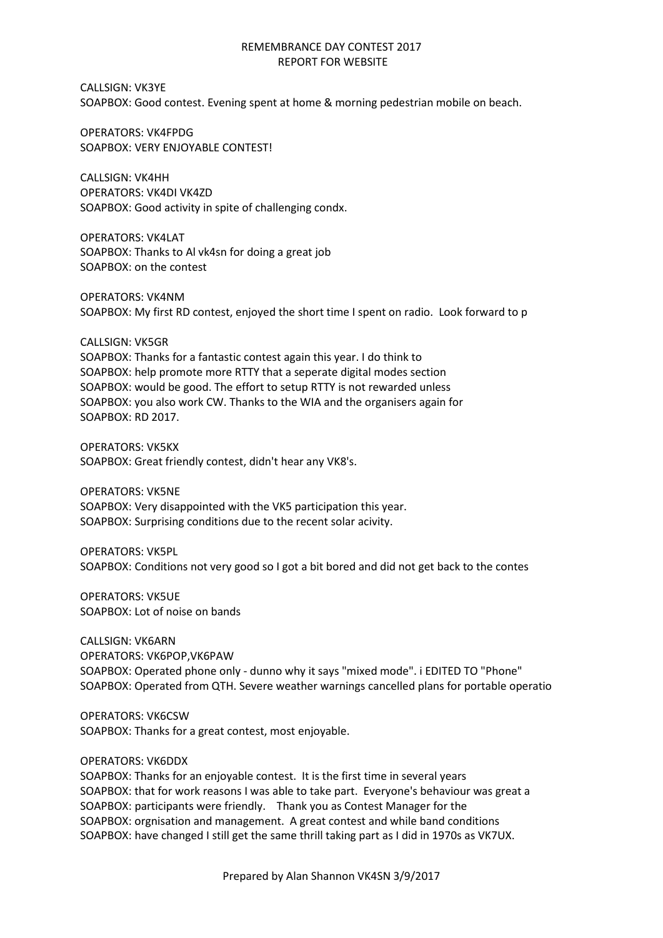CALLSIGN: VK3YE SOAPBOX: Good contest. Evening spent at home & morning pedestrian mobile on beach.

OPERATORS: VK4FPDG SOAPBOX: VERY ENJOYABLE CONTEST!

CALLSIGN: VK4HH OPERATORS: VK4DI VK4ZD SOAPBOX: Good activity in spite of challenging condx.

OPERATORS: VK4LAT SOAPBOX: Thanks to Al vk4sn for doing a great job SOAPBOX: on the contest

OPERATORS: VK4NM SOAPBOX: My first RD contest, enjoyed the short time I spent on radio. Look forward to p

CALLSIGN: VK5GR SOAPBOX: Thanks for a fantastic contest again this year. I do think to SOAPBOX: help promote more RTTY that a seperate digital modes section SOAPBOX: would be good. The effort to setup RTTY is not rewarded unless SOAPBOX: you also work CW. Thanks to the WIA and the organisers again for SOAPBOX: RD 2017.

OPERATORS: VK5KX SOAPBOX: Great friendly contest, didn't hear any VK8's.

OPERATORS: VK5NE SOAPBOX: Very disappointed with the VK5 participation this year. SOAPBOX: Surprising conditions due to the recent solar acivity.

OPERATORS: VK5PL SOAPBOX: Conditions not very good so I got a bit bored and did not get back to the contes

OPERATORS: VK5UE SOAPBOX: Lot of noise on bands

CALLSIGN: VK6ARN OPERATORS: VK6POP,VK6PAW SOAPBOX: Operated phone only - dunno why it says "mixed mode". i EDITED TO "Phone" SOAPBOX: Operated from QTH. Severe weather warnings cancelled plans for portable operatio

OPERATORS: VK6CSW SOAPBOX: Thanks for a great contest, most enjoyable.

# OPERATORS: VK6DDX

SOAPBOX: Thanks for an enjoyable contest. It is the first time in several years SOAPBOX: that for work reasons I was able to take part. Everyone's behaviour was great a SOAPBOX: participants were friendly. Thank you as Contest Manager for the SOAPBOX: orgnisation and management. A great contest and while band conditions SOAPBOX: have changed I still get the same thrill taking part as I did in 1970s as VK7UX.